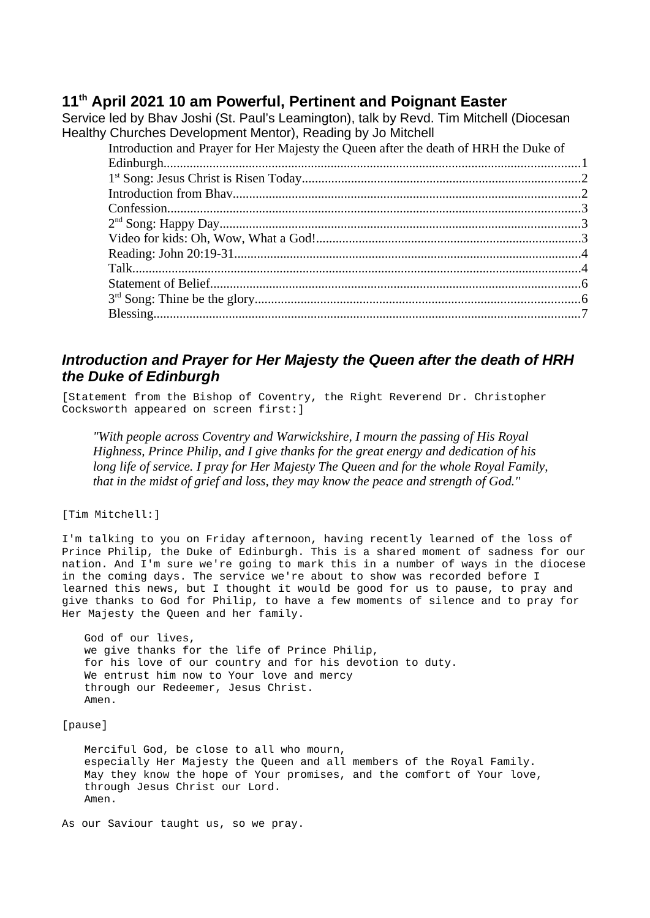## **11th April 2021 10 am Powerful, Pertinent and Poignant Easter**

Service led by Bhav Joshi (St. Paul's Leamington), talk by Revd. Tim Mitchell (Diocesan Healthy Churches Development Mentor), Reading by Jo Mitchell

| Introduction and Prayer for Her Majesty the Queen after the death of HRH the Duke of |
|--------------------------------------------------------------------------------------|
|                                                                                      |
|                                                                                      |
|                                                                                      |
|                                                                                      |
|                                                                                      |
|                                                                                      |
|                                                                                      |
|                                                                                      |
|                                                                                      |
|                                                                                      |
|                                                                                      |

# <span id="page-0-0"></span>*Introduction and Prayer for Her Majesty the Queen after the death of HRH the Duke of Edinburgh*

[Statement from the Bishop of Coventry, the Right Reverend Dr. Christopher Cocksworth appeared on screen first:]

*"With people across Coventry and Warwickshire, I mourn the passing of His Royal Highness, Prince Philip, and I give thanks for the great energy and dedication of his long life of service. I pray for Her Majesty The Queen and for the whole Royal Family, that in the midst of grief and loss, they may know the peace and strength of God."*

[Tim Mitchell:]

I'm talking to you on Friday afternoon, having recently learned of the loss of Prince Philip, the Duke of Edinburgh. This is a shared moment of sadness for our nation. And I'm sure we're going to mark this in a number of ways in the diocese in the coming days. The service we're about to show was recorded before I learned this news, but I thought it would be good for us to pause, to pray and give thanks to God for Philip, to have a few moments of silence and to pray for Her Majesty the Queen and her family.

God of our lives, we give thanks for the life of Prince Philip, for his love of our country and for his devotion to duty. We entrust him now to Your love and mercy through our Redeemer, Jesus Christ. Amen.

[pause]

Merciful God, be close to all who mourn, especially Her Majesty the Queen and all members of the Royal Family. May they know the hope of Your promises, and the comfort of Your love, through Jesus Christ our Lord. Amen.

As our Saviour taught us, so we pray.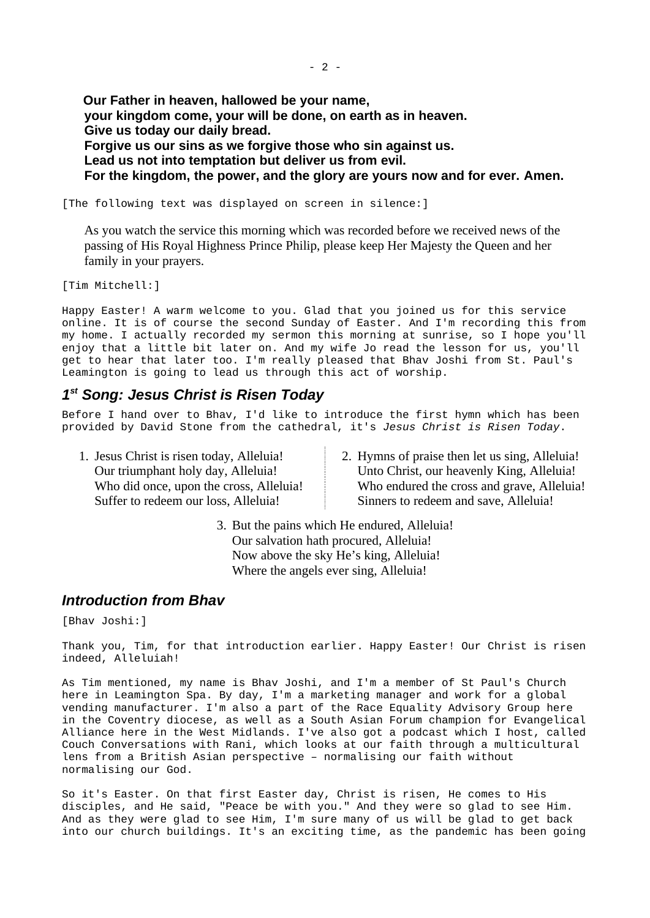**Our Father in heaven, hallowed be your name, your kingdom come, your will be done, on earth as in heaven. Give us today our daily bread. Forgive us our sins as we forgive those who sin against us. Lead us not into temptation but deliver us from evil. For the kingdom, the power, and the glory are yours now and for ever. Amen.**

[The following text was displayed on screen in silence:]

As you watch the service this morning which was recorded before we received news of the passing of His Royal Highness Prince Philip, please keep Her Majesty the Queen and her family in your prayers.

[Tim Mitchell:]

Happy Easter! A warm welcome to you. Glad that you joined us for this service online. It is of course the second Sunday of Easter. And I'm recording this from my home. I actually recorded my sermon this morning at sunrise, so I hope you'll enjoy that a little bit later on. And my wife Jo read the lesson for us, you'll get to hear that later too. I'm really pleased that Bhav Joshi from St. Paul's Leamington is going to lead us through this act of worship.

## <span id="page-1-0"></span>*1 st Song: Jesus Christ is Risen Today*

Before I hand over to Bhav, I'd like to introduce the first hymn which has been provided by David Stone from the cathedral, it's *Jesus Christ is Risen Today*.

- 1. Jesus Christ is risen today, Alleluia! Our triumphant holy day, Alleluia! Who did once, upon the cross, Alleluia! Suffer to redeem our loss, Alleluia!
- 2. Hymns of praise then let us sing, Alleluia! Unto Christ, our heavenly King, Alleluia! Who endured the cross and grave, Alleluia! Sinners to redeem and save, Alleluia!

3. But the pains which He endured, Alleluia! Our salvation hath procured, Alleluia! Now above the sky He's king, Alleluia! Where the angels ever sing, Alleluia!

### <span id="page-1-1"></span>*Introduction from Bhav*

[Bhav Joshi:]

Thank you, Tim, for that introduction earlier. Happy Easter! Our Christ is risen indeed, Alleluiah!

As Tim mentioned, my name is Bhav Joshi, and I'm a member of St Paul's Church here in Leamington Spa. By day, I'm a marketing manager and work for a global vending manufacturer. I'm also a part of the Race Equality Advisory Group here in the Coventry diocese, as well as a South Asian Forum champion for Evangelical Alliance here in the West Midlands. I've also got a podcast which I host, called Couch Conversations with Rani, which looks at our faith through a multicultural lens from a British Asian perspective – normalising our faith without normalising our God.

So it's Easter. On that first Easter day, Christ is risen, He comes to His disciples, and He said, "Peace be with you." And they were so glad to see Him. And as they were glad to see Him, I'm sure many of us will be glad to get back into our church buildings. It's an exciting time, as the pandemic has been going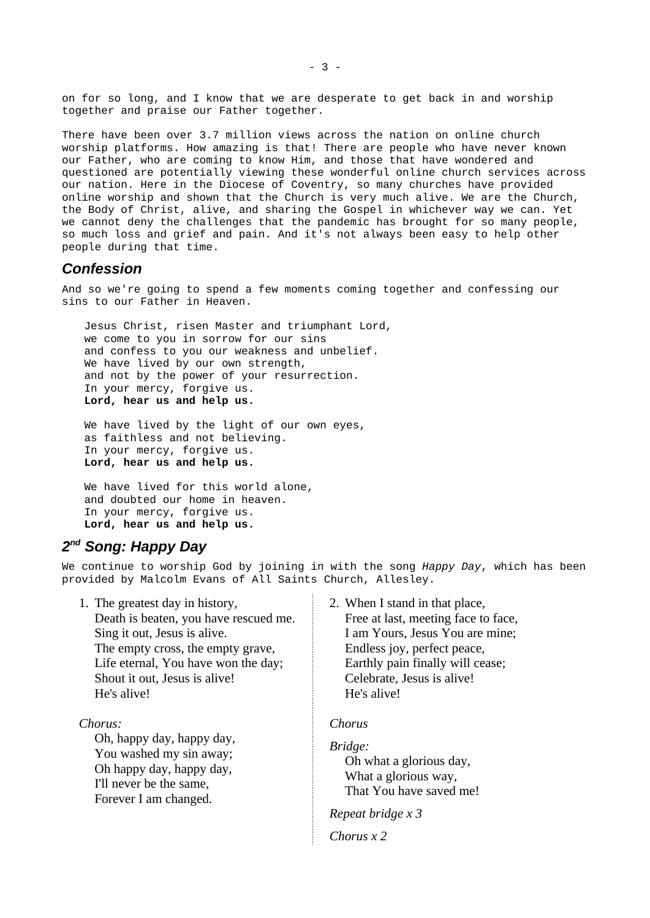on for so long, and I know that we are desperate to get back in and worship together and praise our Father together.

There have been over 3.7 million views across the nation on online church worship platforms. How amazing is that! There are people who have never known our Father, who are coming to know Him, and those that have wondered and questioned are potentially viewing these wonderful online church services across our nation. Here in the Diocese of Coventry, so many churches have provided online worship and shown that the Church is very much alive. We are the Church, the Body of Christ, alive, and sharing the Gospel in whichever way we can. Yet we cannot deny the challenges that the pandemic has brought for so many people, so much loss and grief and pain. And it's not always been easy to help other people during that time.

#### <span id="page-2-1"></span>*Confession*

And so we're going to spend a few moments coming together and confessing our sins to our Father in Heaven.

Jesus Christ, risen Master and triumphant Lord, we come to you in sorrow for our sins and confess to you our weakness and unbelief. We have lived by our own strength, and not by the power of your resurrection. In your mercy, forgive us. **Lord, hear us and help us.**

We have lived by the light of our own eyes, as faithless and not believing. In your mercy, forgive us. **Lord, hear us and help us.** 

We have lived for this world alone, and doubted our home in heaven. In your mercy, forgive us. **Lord, hear us and help us.** 

## <span id="page-2-0"></span>*2 nd Song: Happy Day*

We continue to worship God by joining in with the song *Happy Day*, which has been provided by Malcolm Evans of All Saints Church, Allesley.

1. The greatest day in history, Death is beaten, you have rescued me. Sing it out, Jesus is alive. The empty cross, the empty grave, Life eternal, You have won the day; Shout it out, Jesus is alive! He's alive!

*Chorus:*

Oh, happy day, happy day, You washed my sin away; Oh happy day, happy day, I'll never be the same, Forever I am changed.

2. When I stand in that place,

Free at last, meeting face to face, I am Yours, Jesus You are mine; Endless joy, perfect peace, Earthly pain finally will cease; Celebrate, Jesus is alive! He's alive!

#### *Chorus*

*Bridge:* Oh what a glorious day, What a glorious way, That You have saved me!

*Repeat bridge x 3*

*Chorus x 2*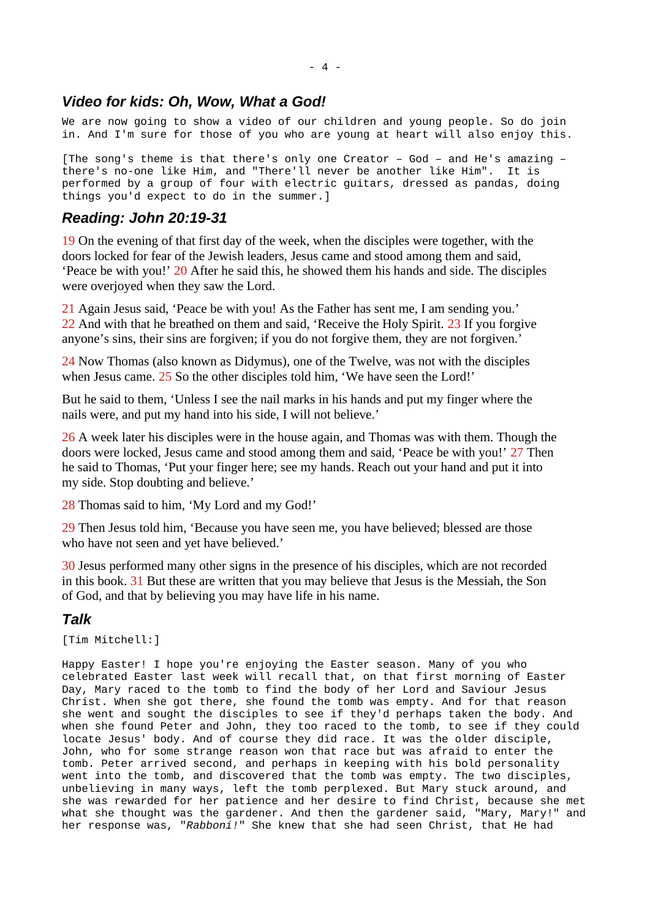### <span id="page-3-2"></span>*Video for kids: Oh, Wow, What a God!*

We are now going to show a video of our children and young people. So do join in. And I'm sure for those of you who are young at heart will also enjoy this.

[The song's theme is that there's only one Creator – God – and He's amazing – there's no-one like Him, and "There'll never be another like Him". It is performed by a group of four with electric guitars, dressed as pandas, doing things you'd expect to do in the summer.]

## <span id="page-3-1"></span>*Reading: John 20:19-31*

19 On the evening of that first day of the week, when the disciples were together, with the doors locked for fear of the Jewish leaders, Jesus came and stood among them and said, 'Peace be with you!' 20 After he said this, he showed them his hands and side. The disciples were overjoyed when they saw the Lord.

21 Again Jesus said, 'Peace be with you! As the Father has sent me, I am sending you.' 22 And with that he breathed on them and said, 'Receive the Holy Spirit. 23 If you forgive anyone's sins, their sins are forgiven; if you do not forgive them, they are not forgiven.'

24 Now Thomas (also known as Didymus), one of the Twelve, was not with the disciples when Jesus came. 25 So the other disciples told him, 'We have seen the Lord!'

But he said to them, 'Unless I see the nail marks in his hands and put my finger where the nails were, and put my hand into his side, I will not believe.'

26 A week later his disciples were in the house again, and Thomas was with them. Though the doors were locked, Jesus came and stood among them and said, 'Peace be with you!' 27 Then he said to Thomas, 'Put your finger here; see my hands. Reach out your hand and put it into my side. Stop doubting and believe.'

28 Thomas said to him, 'My Lord and my God!'

29 Then Jesus told him, 'Because you have seen me, you have believed; blessed are those who have not seen and yet have believed.'

30 Jesus performed many other signs in the presence of his disciples, which are not recorded in this book. 31 But these are written that you may believe that Jesus is the Messiah, the Son of God, and that by believing you may have life in his name.

# <span id="page-3-0"></span>*Talk*

[Tim Mitchell:]

Happy Easter! I hope you're enjoying the Easter season. Many of you who celebrated Easter last week will recall that, on that first morning of Easter Day, Mary raced to the tomb to find the body of her Lord and Saviour Jesus Christ. When she got there, she found the tomb was empty. And for that reason she went and sought the disciples to see if they'd perhaps taken the body. And when she found Peter and John, they too raced to the tomb, to see if they could locate Jesus' body. And of course they did race. It was the older disciple, John, who for some strange reason won that race but was afraid to enter the tomb. Peter arrived second, and perhaps in keeping with his bold personality went into the tomb, and discovered that the tomb was empty. The two disciples, unbelieving in many ways, left the tomb perplexed. But Mary stuck around, and she was rewarded for her patience and her desire to find Christ, because she met what she thought was the gardener. And then the gardener said, "Mary, Mary!" and her response was, "*Rabboni!*" She knew that she had seen Christ, that He had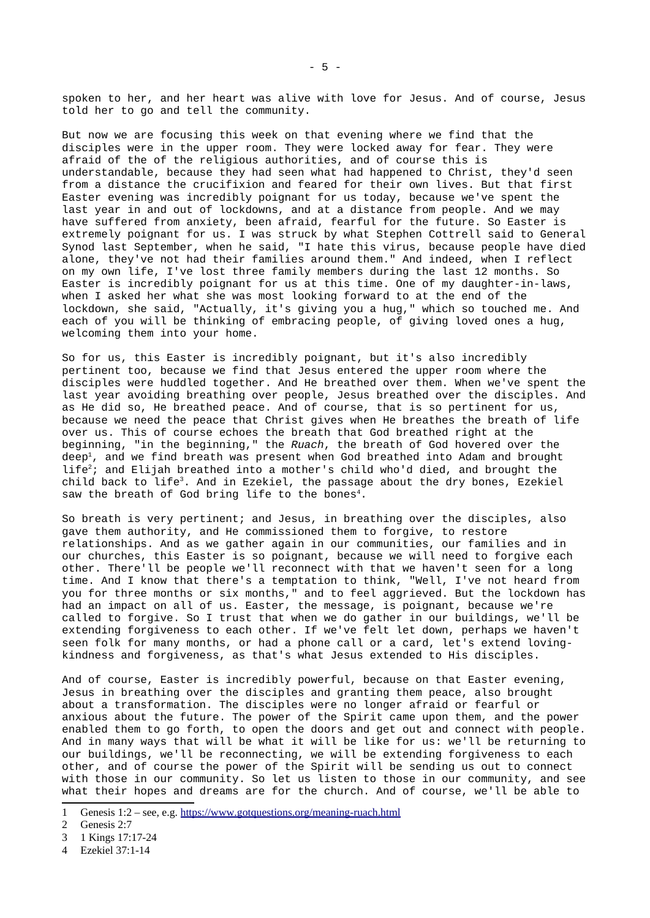spoken to her, and her heart was alive with love for Jesus. And of course, Jesus told her to go and tell the community.

But now we are focusing this week on that evening where we find that the disciples were in the upper room. They were locked away for fear. They were afraid of the of the religious authorities, and of course this is understandable, because they had seen what had happened to Christ, they'd seen from a distance the crucifixion and feared for their own lives. But that first Easter evening was incredibly poignant for us today, because we've spent the last year in and out of lockdowns, and at a distance from people. And we may have suffered from anxiety, been afraid, fearful for the future. So Easter is extremely poignant for us. I was struck by what Stephen Cottrell said to General Synod last September, when he said, "I hate this virus, because people have died alone, they've not had their families around them." And indeed, when I reflect on my own life, I've lost three family members during the last 12 months. So Easter is incredibly poignant for us at this time. One of my daughter-in-laws, when I asked her what she was most looking forward to at the end of the lockdown, she said, "Actually, it's giving you a hug," which so touched me. And each of you will be thinking of embracing people, of giving loved ones a hug, welcoming them into your home.

So for us, this Easter is incredibly poignant, but it's also incredibly pertinent too, because we find that Jesus entered the upper room where the disciples were huddled together. And He breathed over them. When we've spent the last year avoiding breathing over people, Jesus breathed over the disciples. And as He did so, He breathed peace. And of course, that is so pertinent for us, because we need the peace that Christ gives when He breathes the breath of life over us. This of course echoes the breath that God breathed right at the beginning, "in the beginning," the *Ruach*, the breath of God hovered over the deep $^{\text{1}}$  $^{\text{1}}$  $^{\text{1}}$ , and we find breath was present when God breathed into Adam and brought life[2](#page-4-1); and Elijah breathed into a mother's child who'd died, and brought the child back to life<sup>[3](#page-4-2)</sup>. And in Ezekiel, the passage about the dry bones, Ezekiel saw the breath of God bring life to the bones<sup>[4](#page-4-3)</sup>.

So breath is very pertinent; and Jesus, in breathing over the disciples, also gave them authority, and He commissioned them to forgive, to restore relationships. And as we gather again in our communities, our families and in our churches, this Easter is so poignant, because we will need to forgive each other. There'll be people we'll reconnect with that we haven't seen for a long time. And I know that there's a temptation to think, "Well, I've not heard from you for three months or six months," and to feel aggrieved. But the lockdown has had an impact on all of us. Easter, the message, is poignant, because we're called to forgive. So I trust that when we do gather in our buildings, we'll be extending forgiveness to each other. If we've felt let down, perhaps we haven't seen folk for many months, or had a phone call or a card, let's extend lovingkindness and forgiveness, as that's what Jesus extended to His disciples.

And of course, Easter is incredibly powerful, because on that Easter evening, Jesus in breathing over the disciples and granting them peace, also brought about a transformation. The disciples were no longer afraid or fearful or anxious about the future. The power of the Spirit came upon them, and the power enabled them to go forth, to open the doors and get out and connect with people. And in many ways that will be what it will be like for us: we'll be returning to our buildings, we'll be reconnecting, we will be extending forgiveness to each other, and of course the power of the Spirit will be sending us out to connect with those in our community. So let us listen to those in our community, and see what their hopes and dreams are for the church. And of course, we'll be able to

<span id="page-4-3"></span>4 Ezekiel 37:1-14

<span id="page-4-0"></span><sup>1</sup> Genesis 1:2 – see, e.g.<https://www.gotquestions.org/meaning-ruach.html>

<span id="page-4-1"></span><sup>2</sup> Genesis 2:7

<span id="page-4-2"></span><sup>3</sup> 1 Kings 17:17-24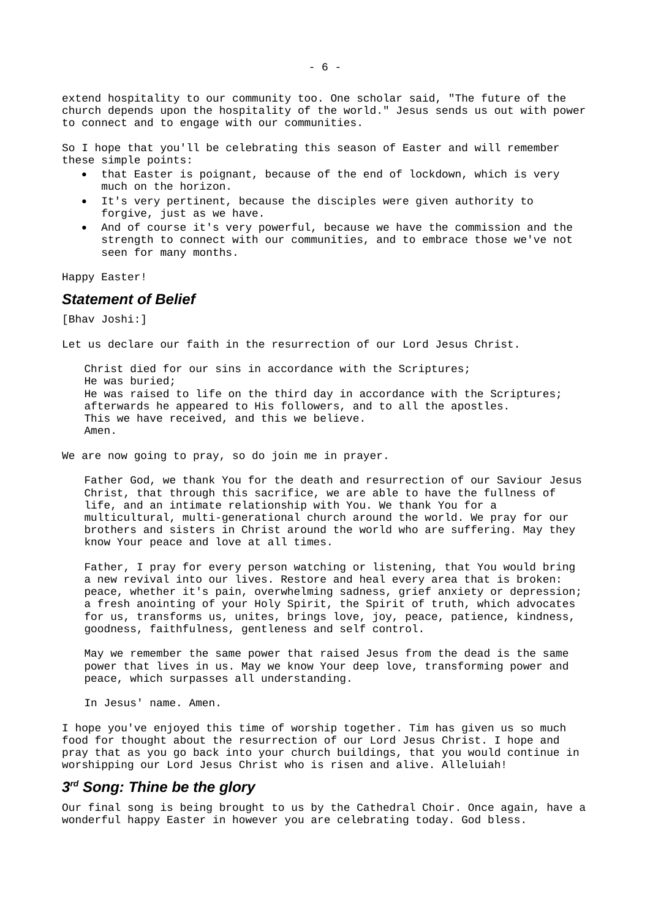extend hospitality to our community too. One scholar said, "The future of the church depends upon the hospitality of the world." Jesus sends us out with power to connect and to engage with our communities.

So I hope that you'll be celebrating this season of Easter and will remember these simple points:

- that Easter is poignant, because of the end of lockdown, which is very much on the horizon.
- It's very pertinent, because the disciples were given authority to forgive, just as we have.
- And of course it's very powerful, because we have the commission and the strength to connect with our communities, and to embrace those we've not seen for many months.

Happy Easter!

### <span id="page-5-1"></span>*Statement of Belief*

[Bhav Joshi:]

Let us declare our faith in the resurrection of our Lord Jesus Christ.

Christ died for our sins in accordance with the Scriptures; He was buried; He was raised to life on the third day in accordance with the Scriptures; afterwards he appeared to His followers, and to all the apostles. This we have received, and this we believe. Amen.

We are now going to pray, so do join me in prayer.

Father God, we thank You for the death and resurrection of our Saviour Jesus Christ, that through this sacrifice, we are able to have the fullness of life, and an intimate relationship with You. We thank You for a multicultural, multi-generational church around the world. We pray for our brothers and sisters in Christ around the world who are suffering. May they know Your peace and love at all times.

Father, I pray for every person watching or listening, that You would bring a new revival into our lives. Restore and heal every area that is broken: peace, whether it's pain, overwhelming sadness, grief anxiety or depression; a fresh anointing of your Holy Spirit, the Spirit of truth, which advocates for us, transforms us, unites, brings love, joy, peace, patience, kindness, goodness, faithfulness, gentleness and self control.

May we remember the same power that raised Jesus from the dead is the same power that lives in us. May we know Your deep love, transforming power and peace, which surpasses all understanding.

In Jesus' name. Amen.

I hope you've enjoyed this time of worship together. Tim has given us so much food for thought about the resurrection of our Lord Jesus Christ. I hope and pray that as you go back into your church buildings, that you would continue in worshipping our Lord Jesus Christ who is risen and alive. Alleluiah!

## <span id="page-5-0"></span>*3 rd Song: Thine be the glory*

Our final song is being brought to us by the Cathedral Choir. Once again, have a wonderful happy Easter in however you are celebrating today. God bless.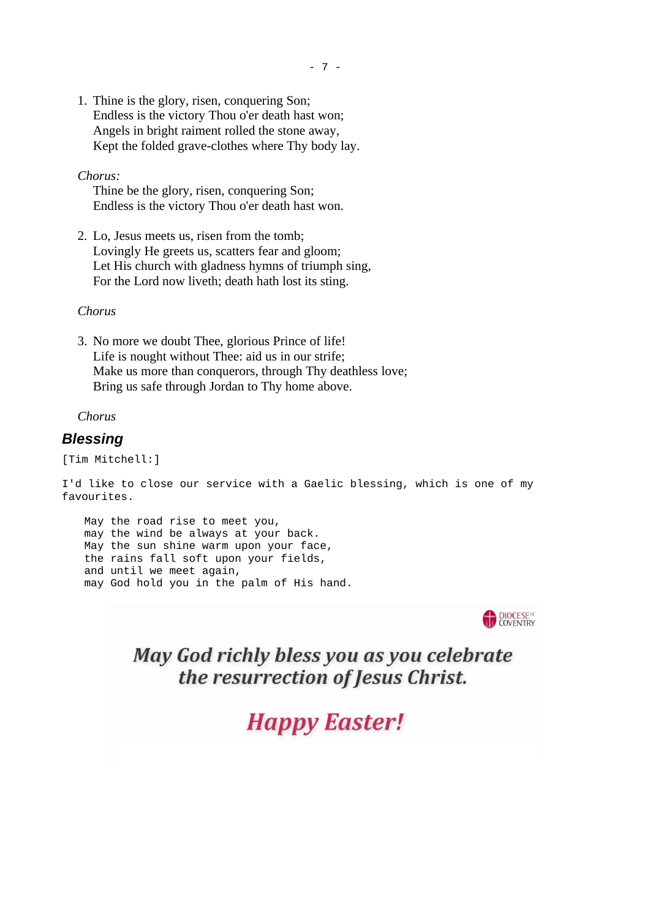1. Thine is the glory, risen, conquering Son; Endless is the victory Thou o'er death hast won; Angels in bright raiment rolled the stone away, Kept the folded grave-clothes where Thy body lay.

*Chorus:*

Thine be the glory, risen, conquering Son; Endless is the victory Thou o'er death hast won.

2. Lo, Jesus meets us, risen from the tomb; Lovingly He greets us, scatters fear and gloom; Let His church with gladness hymns of triumph sing, For the Lord now liveth; death hath lost its sting.

*Chorus*

3. No more we doubt Thee, glorious Prince of life! Life is nought without Thee: aid us in our strife; Make us more than conquerors, through Thy deathless love; Bring us safe through Jordan to Thy home above.

*Chorus*

#### <span id="page-6-0"></span>*Blessing*

[Tim Mitchell:]

I'd like to close our service with a Gaelic blessing, which is one of my favourites.

May the road rise to meet you, may the wind be always at your back. May the sun shine warm upon your face, the rains fall soft upon your fields, and until we meet again, may God hold you in the palm of His hand.



May God richly bless you as you celebrate the resurrection of Jesus Christ.

**Happy Easter!**